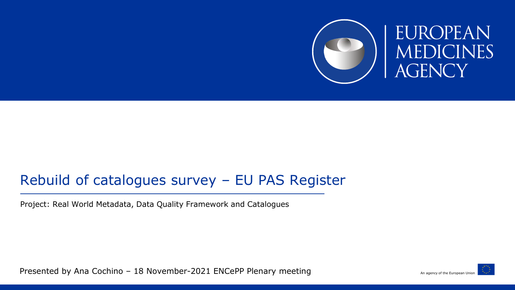

#### Rebuild of catalogues survey – EU PAS Register

Project: Real World Metadata, Data Quality Framework and Catalogues

Presented by Ana Cochino – 18 November-2021 ENCePP Plenary meeting

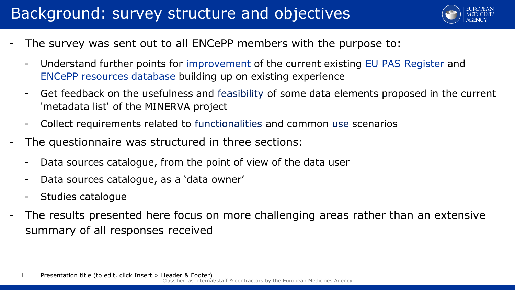#### Background: survey structure and objectives



- The survey was sent out to all ENCePP members with the purpose to:
	- Understand further points for improvement of the current existing EU PAS Register and ENCePP resources database building up on existing experience
	- Get feedback on the usefulness and feasibility of some data elements proposed in the current 'metadata list' of the MINERVA project
	- Collect requirements related to functionalities and common use scenarios
- The questionnaire was structured in three sections:
	- Data sources catalogue, from the point of view of the data user
	- Data sources catalogue, as a 'data owner'
	- Studies catalogue
- The results presented here focus on more challenging areas rather than an extensive summary of all responses received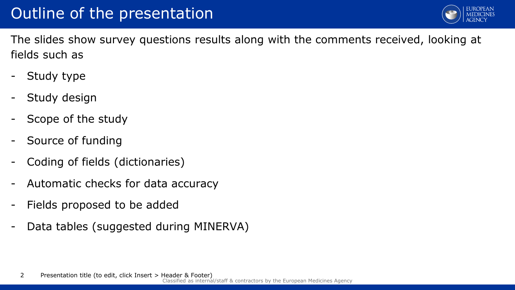

The slides show survey questions results along with the comments received, looking at fields such as

- Study type
- Study design
- Scope of the study
- Source of funding
- Coding of fields (dictionaries)
- Automatic checks for data accuracy
- Fields proposed to be added
- Data tables (suggested during MINERVA)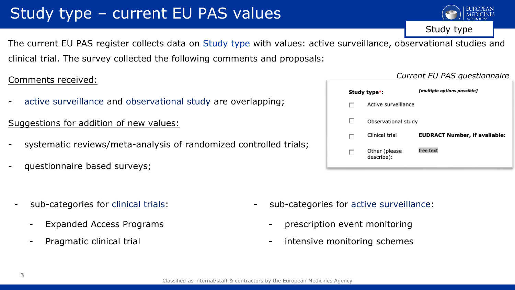# Study type – current EU PAS values

The current EU PAS register collects data on Study type with values: active surveillance, observational studies and clinical trial. The survey collected the following comments and proposals:

#### Comments received:

active surveillance and observational study are overlapping;

#### Suggestions for addition of new values:

- systematic reviews/meta-analysis of randomized controlled trials;
- questionnaire based surveys;
	- sub-categories for clinical trials:
		- Expanded Access Programs
		- Pragmatic clinical trial

#### Active surveillance Observational study **EUDRACT Number, if available:** Clinical trial free text Other (please describe):

Study type\*:

- sub-categories for active surveillance:
	- prescription event monitoring
	- intensive monitoring schemes

#### Classified as internal/staff & contractors by the European Medicines Agency

Study type

*Current EU PAS questionnaire*

[multiple options possible]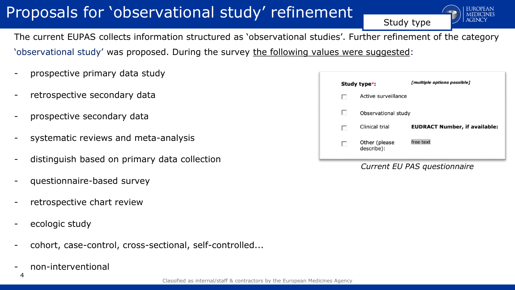# Proposals for 'observational study' refinement



The current EUPAS collects information structured as 'observational studies'. Further refinement of the category 'observational study' was proposed. During the survey the following values were suggested:

- prospective primary data study
- retrospective secondary data
- prospective secondary data
- systematic reviews and meta-analysis
- distinguish based on primary data collection
- questionnaire-based survey
- retrospective chart review
- ecologic study
- cohort, case-control, cross-sectional, self-controlled...
- non-interventional

|            | Study type*:                | [multiple options possible]          |
|------------|-----------------------------|--------------------------------------|
| ы          | Active surveillance         |                                      |
| <b>COL</b> | Observational study         |                                      |
| ш          | Clinical trial              | <b>EUDRACT Number, if available:</b> |
| п          | Other (please<br>describe): | free text                            |

Study type

*Current EU PAS questionnaire*

4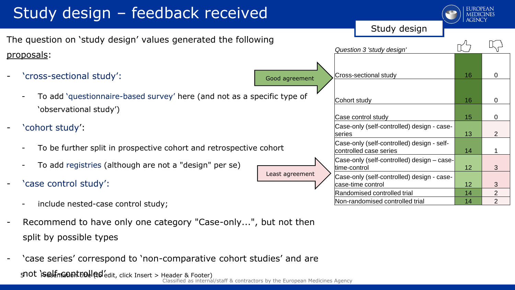# Study design – feedback received

The question on 'study design' values generated the following proposals:

- 'cross-sectional study':
	- To add 'questionnaire-based survey' here (and not as a specific 'observational study')

- ' cohort study':
	- To be further split in prospective cohort and retrospective cohort
	- To add registries (although are not a "design" per se)
- 'case control study':
	- include nested-case control study;
- Recommend to have only one category "Case-only...", but not then split by possible types
- Classified as internal/staff & contractors by the European Medicines Agency 5 PO t is elfin GOM tiol | ad edit, click Insert > Header & Footer) 'case series' correspond to 'non-comparative cohort studies' and are

|                                 | Study design                                                         |    |                           |
|---------------------------------|----------------------------------------------------------------------|----|---------------------------|
| ng                              | Question 3 'study design'                                            |    |                           |
|                                 | Cross-sectional study                                                | 16 | 0                         |
| Good agreement<br>cific type of | Cohort study                                                         | 16 | 0                         |
|                                 | Case control study                                                   | 15 | 0                         |
|                                 | Case-only (self-controlled) design - case-<br>lseries                | 13 | 2                         |
| ohort                           | Case-only (self-controlled) design - self-<br>controlled case series | 14 | 1                         |
|                                 | Case-only (self-controlled) design - case-<br>ltime-control          | 12 | 3                         |
| Least agreement                 | Case-only (self-controlled) design - case-<br>case-time control      | 12 | $\ensuremath{\mathsf{3}}$ |
|                                 | Randomised controlled trial                                          | 14 | $\overline{2}$            |
|                                 | Non-randomised controlled trial                                      | 14 | $\overline{2}$            |

**EUROPEAN** 

Study design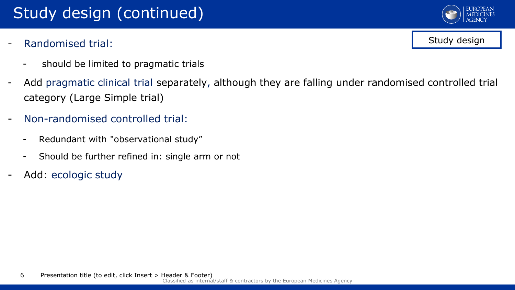## Study design (continued)

Randomised trial:



- Add pragmatic clinical trial separately, although they are falling under randomised controlled trial category (Large Simple trial)
- Non-randomised controlled trial:
	- Redundant with "observational study"
	- Should be further refined in: single arm or not
- Add: ecologic study



Study design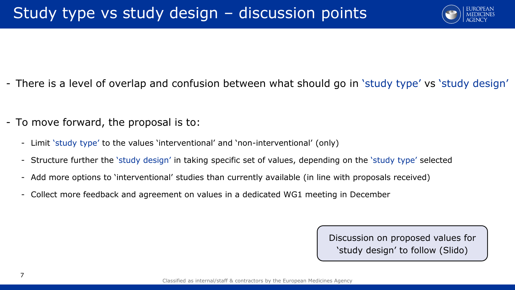

- There is a level of overlap and confusion between what should go in 'study type' vs 'study design'
- To move forward, the proposal is to:
	- Limit 'study type' to the values 'interventional' and 'non-interventional' (only)
	- Structure further the 'study design' in taking specific set of values, depending on the 'study type' selected
	- Add more options to 'interventional' studies than currently available (in line with proposals received)
	- Collect more feedback and agreement on values in a dedicated WG1 meeting in December

Discussion on proposed values for 'study design' to follow (Slido)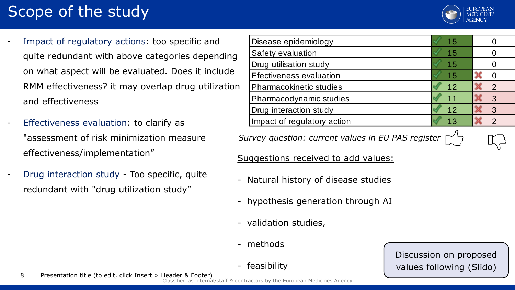# Scope of the study



Impact of regulatory actions: too specific and quite redundant with above categories depending on what aspect will be evaluated. Does it include RMM effectiveness? it may overlap drug utilization and effectiveness

- Effectiveness evaluation: to clarify as "assessment of risk minimization measure effectiveness/implementation"
- Drug interaction study Too specific, quite redundant with "drug utilization study"

| Disease epidemiology        | 15 |   |
|-----------------------------|----|---|
| Safety evaluation           | 15 |   |
| Drug utilisation study      | 15 |   |
| Efectiveness evaluation     | 15 |   |
| Pharmacokinetic studies     | 12 | ာ |
| Pharmacodynamic studies     |    | 3 |
| Drug interaction study      | 12 | 3 |
| Impact of regulatory action |    |   |

*Survey question: current values in EU PAS register*

Suggestions received to add values:

- Natural history of disease studies
- hypothesis generation through AI
- validation studies,
- methods
- feasibility

Discussion on proposed values following (Slido)

Classified as internal/staff & contractors by the European Medicines Agency 8 Presentation title (to edit, click Insert > Header & Footer)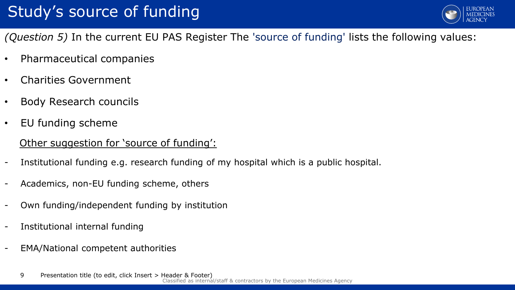

*(Question 5)* In the current EU PAS Register The 'source of funding' lists the following values:

- Pharmaceutical companies
- Charities Government
- Body Research councils
- EU funding scheme

#### Other suggestion for 'source of funding':

- Institutional funding e.g. research funding of my hospital which is a public hospital.
- Academics, non-EU funding scheme, others
- Own funding/independent funding by institution
- Institutional internal funding
- EMA/National competent authorities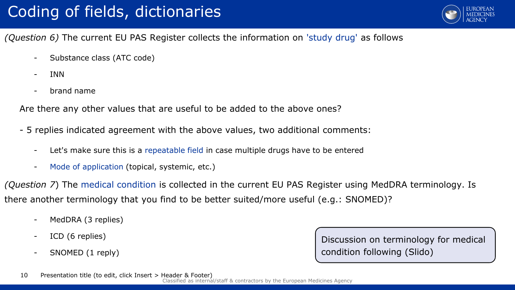

*(Question 6)* The current EU PAS Register collects the information on 'study drug' as follows

- Substance class (ATC code)
- INN
- brand name

Are there any other values that are useful to be added to the above ones?

- 5 replies indicated agreement with the above values, two additional comments:
	- Let's make sure this is a repeatable field in case multiple drugs have to be entered
	- Mode of application (topical, systemic, etc.)

*(Question 7*) The medical condition is collected in the current EU PAS Register using MedDRA terminology. Is there another terminology that you find to be better suited/more useful (e.g.: SNOMED)?

- MedDRA (3 replies)
- ICD (6 replies)
- SNOMED (1 reply)

Discussion on terminology for medical condition following (Slido)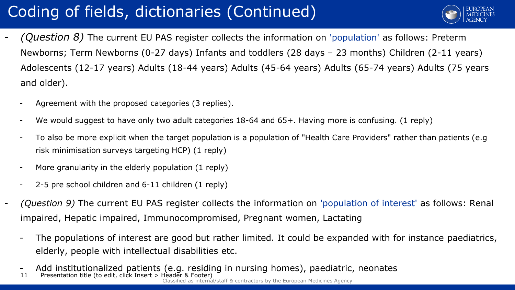# Coding of fields, dictionaries (Continued)



- *(Question 8)* The current EU PAS register collects the information on 'population' as follows: Preterm Newborns; Term Newborns (0-27 days) Infants and toddlers (28 days – 23 months) Children (2-11 years) Adolescents (12-17 years) Adults (18-44 years) Adults (45-64 years) Adults (65-74 years) Adults (75 years and older).
	- Agreement with the proposed categories (3 replies).
	- We would suggest to have only two adult categories 18-64 and 65+. Having more is confusing. (1 reply)
	- To also be more explicit when the target population is a population of "Health Care Providers" rather than patients (e.g risk minimisation surveys targeting HCP) (1 reply)
	- More granularity in the elderly population (1 reply)
	- 2-5 pre school children and 6-11 children (1 reply)
- *(Question 9)* The current EU PAS register collects the information on 'population of interest' as follows: Renal impaired, Hepatic impaired, Immunocompromised, Pregnant women, Lactating
	- The populations of interest are good but rather limited. It could be expanded with for instance paediatrics, elderly, people with intellectual disabilities etc.
	- Add institutionalized patients (e.g. residing in nursing homes), paediatric, neonates
	- mal/staff & contractors by the European Medicines Agency 11 Presentation title (to edit, click Insert > Header &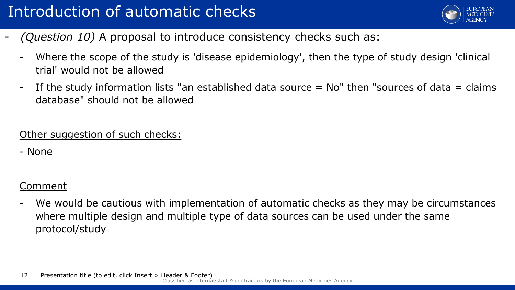

- *(Question 10)* A proposal to introduce consistency checks such as:
	- Where the scope of the study is 'disease epidemiology', then the type of study design 'clinical trial' would not be allowed
	- If the study information lists "an established data source = No" then "sources of data = claims database" should not be allowed

Other suggestion of such checks:

- None

#### Comment

We would be cautious with implementation of automatic checks as they may be circumstances where multiple design and multiple type of data sources can be used under the same protocol/study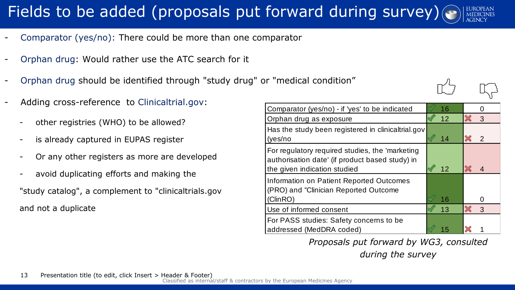# Fields to be added (proposals put forward during survey)

- Comparator (yes/no): There could be more than one comparator
- Orphan drug: Would rather use the ATC search for it
- Orphan drug should be identified through "study drug" or "medical condition"
- Adding cross-reference to Clinicaltrial.gov:
	- other registries (WHO) to be allowed?
	- is already captured in EUPAS register
	- Or any other registers as more are developed
	- avoid duplicating efforts and making the "study catalog", a complement to "clinicaltrials.gov and not a duplicate

| Comparator (yes/no) - if 'yes' to be indicated                                                                                     | 16 |                |
|------------------------------------------------------------------------------------------------------------------------------------|----|----------------|
| Orphan drug as exposure                                                                                                            | 12 | 3              |
| Has the study been registered in clinicaltrial.gov<br>(yes/no                                                                      | 14 | $\mathcal{P}$  |
| For regulatory required studies, the 'marketing<br>authorisation date' (if product based study) in<br>the given indication studied | 12 | $\overline{4}$ |
| Information on Patient Reported Outcomes<br>(PRO) and "Clinician Reported Outcome                                                  |    |                |
| (ClinRO)                                                                                                                           | 16 |                |
| Use of informed consent                                                                                                            | 13 | 3              |
| For PASS studies: Safety concerns to be<br>addressed (MedDRA coded)                                                                |    |                |

*Proposals put forward by WG3, consulted* 

*during the survey*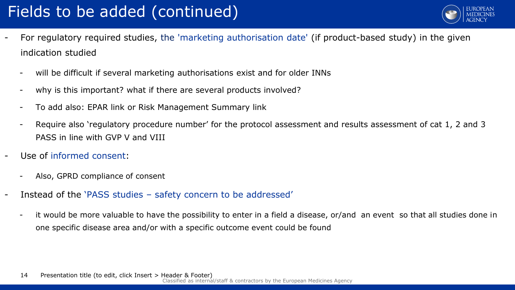# Fields to be added (continued)



- For regulatory required studies, the 'marketing authorisation date' (if product-based study) in the given indication studied
	- will be difficult if several marketing authorisations exist and for older INNs
	- why is this important? what if there are several products involved?
	- To add also: EPAR link or Risk Management Summary link
	- Require also 'regulatory procedure number' for the protocol assessment and results assessment of cat 1, 2 and 3 PASS in line with GVP V and VIII
- Use of informed consent:
	- Also, GPRD compliance of consent
- Instead of the 'PASS studies safety concern to be addressed'
	- it would be more valuable to have the possibility to enter in a field a disease, or/and an event so that all studies done in one specific disease area and/or with a specific outcome event could be found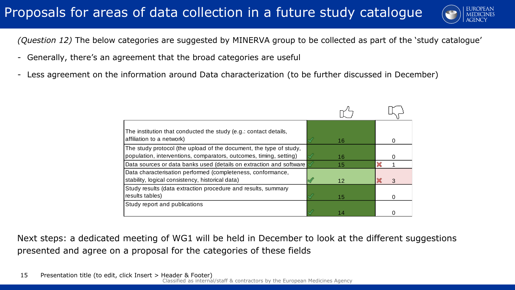

*(Question 12)* The below categories are suggested by MINERVA group to be collected as part of the 'study catalogue'

- Generally, there's an agreement that the broad categories are useful
- Less agreement on the information around Data characterization (to be further discussed in December)

| The institution that conducted the study (e.g.: contact details,<br>affiliation to a network)                                            | 16 |   |
|------------------------------------------------------------------------------------------------------------------------------------------|----|---|
| The study protocol (the upload of the document, the type of study,<br>population, interventions, comparators, outcomes, timing, setting) | 16 |   |
| Data sources or data banks used (details on extraction and software                                                                      | 15 |   |
| Data characterisation performed (completeness, conformance,<br>stability, logical consistency, historical data)                          | 12 | 3 |
| Study results (data extraction procedure and results, summary<br>results tables)                                                         | 15 |   |
| Study report and publications                                                                                                            |    |   |

Next steps: a dedicated meeting of WG1 will be held in December to look at the different suggestions presented and agree on a proposal for the categories of these fields